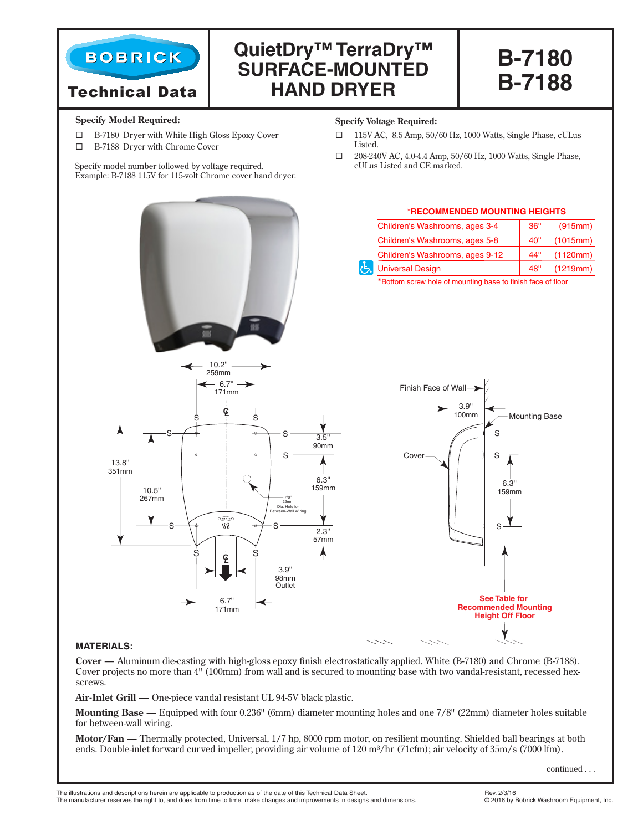

# Technical Data

# **QuietDry™ TerraDry™ SURFACE-MOUNTED HAND DRYER**

**B-7180 B-7188**

#### **Specify Model Required:**

- B-7180 Dryer with White High Gloss Epoxy Cover
- B-7188 Dryer with Chrome Cover

Specify model number followed by voltage required. Example: B-7188 115V for 115-volt Chrome cover hand dryer.

#### **Specify Voltage Required:**

- 115V AC, 8.5 Amp, 50/60 Hz, 1000 Watts, Single Phase, cULus Listed.
- $\Box$  208-240V AC, 4.0-4.4 Amp, 50/60 Hz, 1000 Watts, Single Phase, cULus Listed and CE marked.



# **MATERIALS:**

**Cover** — Aluminum die-casting with high-gloss epoxy finish electrostatically applied. White (B-7180) and Chrome (B-7188). Cover projects no more than 4" (100mm) from wall and is secured to mounting base with two vandal-resistant, recessed hexscrews.

**Air-Inlet Grill** — One-piece vandal resistant UL 94-5V black plastic.

**Mounting Base** — Equipped with four 0.236" (6mm) diameter mounting holes and one 7/8" (22mm) diameter holes suitable for between-wall wiring.

**Motor/Fan** — Thermally protected, Universal, 1/7 hp, 8000 rpm motor, on resilient mounting. Shielded ball bearings at both ends. Double-inlet forward curved impeller, providing air volume of 120 m<sup>3</sup>/hr (71cfm); air velocity of 35m/s (7000 lfm).

continued . . .